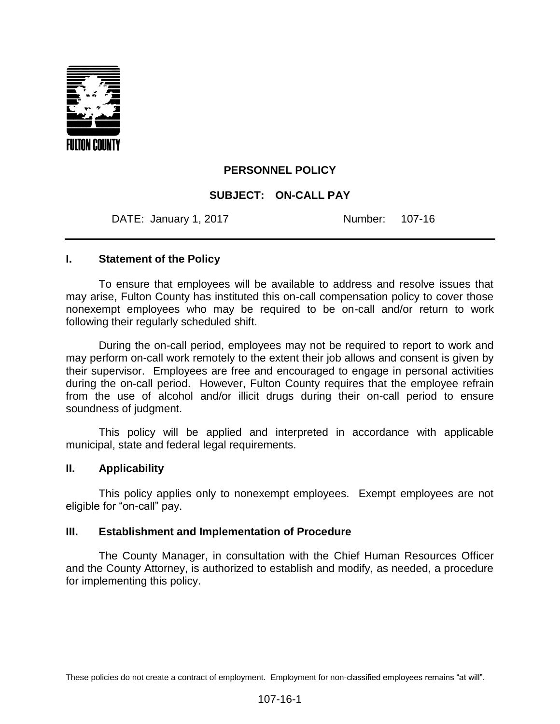

## **PERSONNEL POLICY**

## **SUBJECT: ON-CALL PAY**

DATE: January 1, 2017 **Number: 107-16** 

### **I. Statement of the Policy**

To ensure that employees will be available to address and resolve issues that may arise, Fulton County has instituted this on-call compensation policy to cover those nonexempt employees who may be required to be on-call and/or return to work following their regularly scheduled shift.

During the on-call period, employees may not be required to report to work and may perform on-call work remotely to the extent their job allows and consent is given by their supervisor. Employees are free and encouraged to engage in personal activities during the on-call period. However, Fulton County requires that the employee refrain from the use of alcohol and/or illicit drugs during their on-call period to ensure soundness of judgment.

This policy will be applied and interpreted in accordance with applicable municipal, state and federal legal requirements.

#### **II. Applicability**

This policy applies only to nonexempt employees. Exempt employees are not eligible for "on-call" pay.

#### **III. Establishment and Implementation of Procedure**

The County Manager, in consultation with the Chief Human Resources Officer and the County Attorney, is authorized to establish and modify, as needed, a procedure for implementing this policy.

These policies do not create a contract of employment. Employment for non-classified employees remains "at will".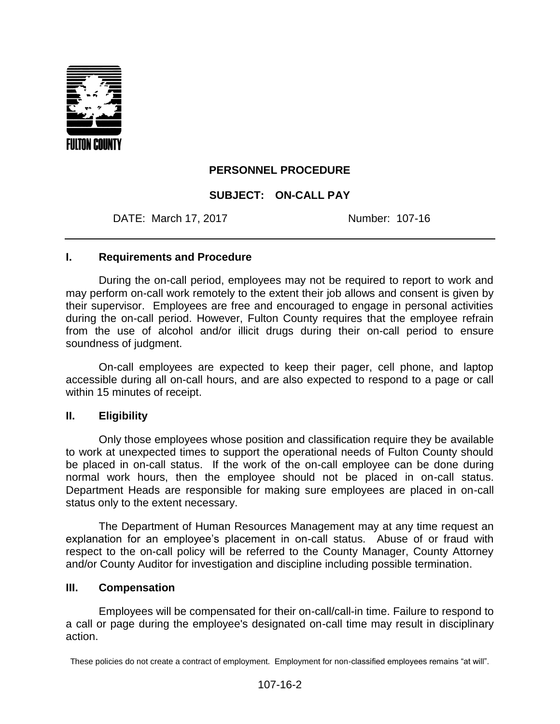

# **PERSONNEL PROCEDURE**

# **SUBJECT: ON-CALL PAY**

DATE: March 17, 2017 Mumber: 107-16

## **I. Requirements and Procedure**

During the on-call period, employees may not be required to report to work and may perform on-call work remotely to the extent their job allows and consent is given by their supervisor. Employees are free and encouraged to engage in personal activities during the on-call period. However, Fulton County requires that the employee refrain from the use of alcohol and/or illicit drugs during their on-call period to ensure soundness of judgment.

On-call employees are expected to keep their pager, cell phone, and laptop accessible during all on-call hours, and are also expected to respond to a page or call within 15 minutes of receipt.

### **II. Eligibility**

Only those employees whose position and classification require they be available to work at unexpected times to support the operational needs of Fulton County should be placed in on-call status. If the work of the on-call employee can be done during normal work hours, then the employee should not be placed in on-call status. Department Heads are responsible for making sure employees are placed in on-call status only to the extent necessary.

The Department of Human Resources Management may at any time request an explanation for an employee's placement in on-call status. Abuse of or fraud with respect to the on-call policy will be referred to the County Manager, County Attorney and/or County Auditor for investigation and discipline including possible termination.

### **III. Compensation**

Employees will be compensated for their on-call/call-in time. Failure to respond to a call or page during the employee's designated on-call time may result in disciplinary action.

These policies do not create a contract of employment. Employment for non-classified employees remains "at will".